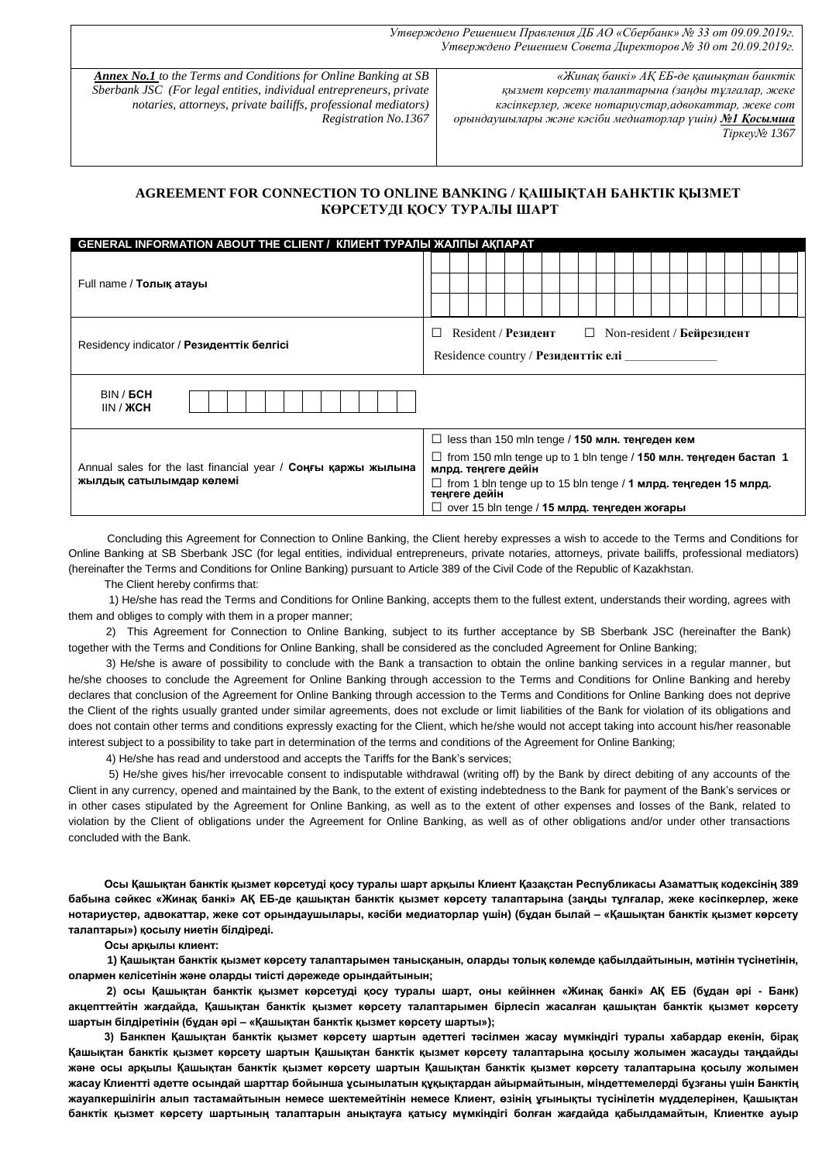*Утверждено Решением Правления ДБ АО «Сбербанк» № 33 от 09.09.2019г. Утверждено Решением Совета Директоров № 30 от 20.09.2019г.*

*Annex No.1 to the Terms and Conditions for Online Banking at SB Sberbank JSC (For legal entities, individual entrepreneurs, private notaries, attorneys, private bailiffs, professional mediators) Registration No.1367*

*«Жинақ банкі» АҚ ЕБ-де қашықтан банктік қызмет көрсету талаптарына (заңды тұлғалар, жеке кәсіпкерлер, жеке нотариустар,адвокаттар, жеке сот орындаушылары және кәсіби медиаторлар үшін) №1 Қосымша*

*Тіркеу№ 1367*

## **AGREEMENT FOR CONNECTION TO ONLINE BANKING / ҚАШЫҚТАН БАНКТІК ҚЫЗМЕТ КӨРСЕТУДІ ҚОСУ ТУРАЛЫ ШАРТ**

| <b>GENERAL INFORMATION ABOUT THE CLIENT / КЛИЕНТ ТУРАЛЫ ЖАЛПЫ АКПАРАТ</b> |                                                                                                                |  |  |  |  |
|---------------------------------------------------------------------------|----------------------------------------------------------------------------------------------------------------|--|--|--|--|
| Full name / Толық атауы                                                   |                                                                                                                |  |  |  |  |
|                                                                           |                                                                                                                |  |  |  |  |
| Residency indicator / Резиденттік белгісі                                 | Resident / Резидент<br>$Non-resident / Бейрезидент$<br>$\Box$<br>$\Box$<br>Residence country / Резиденттік елі |  |  |  |  |
| BIN / <b>GCH</b><br>IIN / XCH                                             |                                                                                                                |  |  |  |  |
|                                                                           | $\Box$ less than 150 mln tenge / 150 млн. теңгеден кем                                                         |  |  |  |  |
| Annual sales for the last financial year / Соңғы қаржы жылына             | $\Box$ from 150 mln tenge up to 1 bln tenge / 150 млн. теңгеден бастап 1<br>млрд. теңгеге дейін                |  |  |  |  |
| жылдық сатылымдар көлемі                                                  | $\Box$ from 1 bln tenge up to 15 bln tenge / 1 млрд. теңгеден 15 млрд.<br>теңгеге дейін                        |  |  |  |  |
|                                                                           | $\Box$ over 15 bln tenge / 15 млрд. теңгеден жоғары                                                            |  |  |  |  |

 Concluding this Agreement for Connection to Online Banking, the Client hereby expresses a wish to accede to the Terms and Conditions for Online Banking at SB Sberbank JSC (for legal entities, individual entrepreneurs, private notaries, attorneys, private bailiffs, professional mediators) (hereinafter the Terms and Conditions for Online Banking) pursuant to Article 389 of the Civil Code of the Republic of Kazakhstan.

The Client hereby confirms that:

 1) He/she has read the Terms and Conditions for Online Banking, accepts them to the fullest extent, understands their wording, agrees with them and obliges to comply with them in a proper manner;

 2) This Agreement for Connection to Online Banking, subject to its further acceptance by SB Sberbank JSC (hereinafter the Bank) together with the Terms and Conditions for Online Banking, shall be considered as the concluded Agreement for Online Banking;

 3) He/she is aware of possibility to conclude with the Bank a transaction to obtain the online banking services in a regular manner, but he/she chooses to conclude the Agreement for Online Banking through accession to the Terms and Conditions for Online Banking and hereby declares that conclusion of the Agreement for Online Banking through accession to the Terms and Conditions for Online Banking does not deprive the Client of the rights usually granted under similar agreements, does not exclude or limit liabilities of the Bank for violation of its obligations and does not contain other terms and conditions expressly exacting for the Client, which he/she would not accept taking into account his/her reasonable interest subject to a possibility to take part in determination of the terms and conditions of the Agreement for Online Banking;

4) He/she has read and understood and accepts the Tariffs for the Bank's services;

 5) He/she gives his/her irrevocable consent to indisputable withdrawal (writing off) by the Bank by direct debiting of any accounts of the Client in any currency, opened and maintained by the Bank, to the extent of existing indebtedness to the Bank for payment of the Bank's services or in other cases stipulated by the Agreement for Online Banking, as well as to the extent of other expenses and losses of the Bank, related to violation by the Client of obligations under the Agreement for Online Banking, as well as of other obligations and/or under other transactions concluded with the Bank.

 **Осы Қашықтан банктік қызмет кӛрсетуді қосу туралы шарт арқылы Клиент Қазақстан Республикасы Азаматтық кодексінің 389 бабына сәйкес «Жинақ банкі» АҚ ЕБ-де қашықтан банктік қызмет кӛрсету талаптарына (заңды тұлғалар, жеке кәсіпкерлер, жеке нотариустер, адвокаттар, жеке сот орындаушылары, кәсіби медиаторлар үшін) (бұдан былай – «Қашықтан банктік қызмет кӛрсету талаптары») қосылу ниетін білдіреді.**

 **Осы арқылы клиент:** 

 **1) Қашықтан банктік қызмет кӛрсету талаптарымен танысқанын, оларды толық кӛлемде қабылдайтынын, мәтінін түсінетінін, олармен келісетінін және оларды тиісті дәрежеде орындайтынын;**

 **2) осы Қашықтан банктік қызмет кӛрсетуді қосу туралы шарт, оны кейіннен «Жинақ банкі» АҚ ЕБ (бұдан әрі - Банк)**  акцепттейтін жағдайда, Қашықтан банктік қызмет көрсету талаптарымен бірлесіп жасалған қашықтан банктік қызмет көрсету шартын білдіретінін (бұдан әрі – «Қашықтан банктік қызмет көрсету шарты»);

3) Банкпен Қашықтан банктік қызмет көрсету шартын әдеттегі тәсілмен жасау мүмкіндігі туралы хабардар екенін, бірақ **Қашықтан банктік қызмет кӛрсету шартын Қашықтан банктік қызмет кӛрсету талаптарына қосылу жолымен жасауды таңдайды және осы арқылы Қашықтан банктік қызмет кӛрсету шартын Қашықтан банктік қызмет кӛрсету талаптарына қосылу жолымен жасау Клиентті әдетте осындай шарттар бойынша ұсынылатын құқықтардан айырмайтынын, міндеттемелерді бұзғаны үшін Банктің жауапкершілігін алып тастамайтынын немесе шектемейтінін немесе Клиент, ӛзінің ұғынықты түсінілетін мүдделерінен, Қашықтан банктік қызмет кӛрсету шартының талаптарын анықтауға қатысу мүмкіндігі болған жағдайда қабылдамайтын, Клиентке ауыр**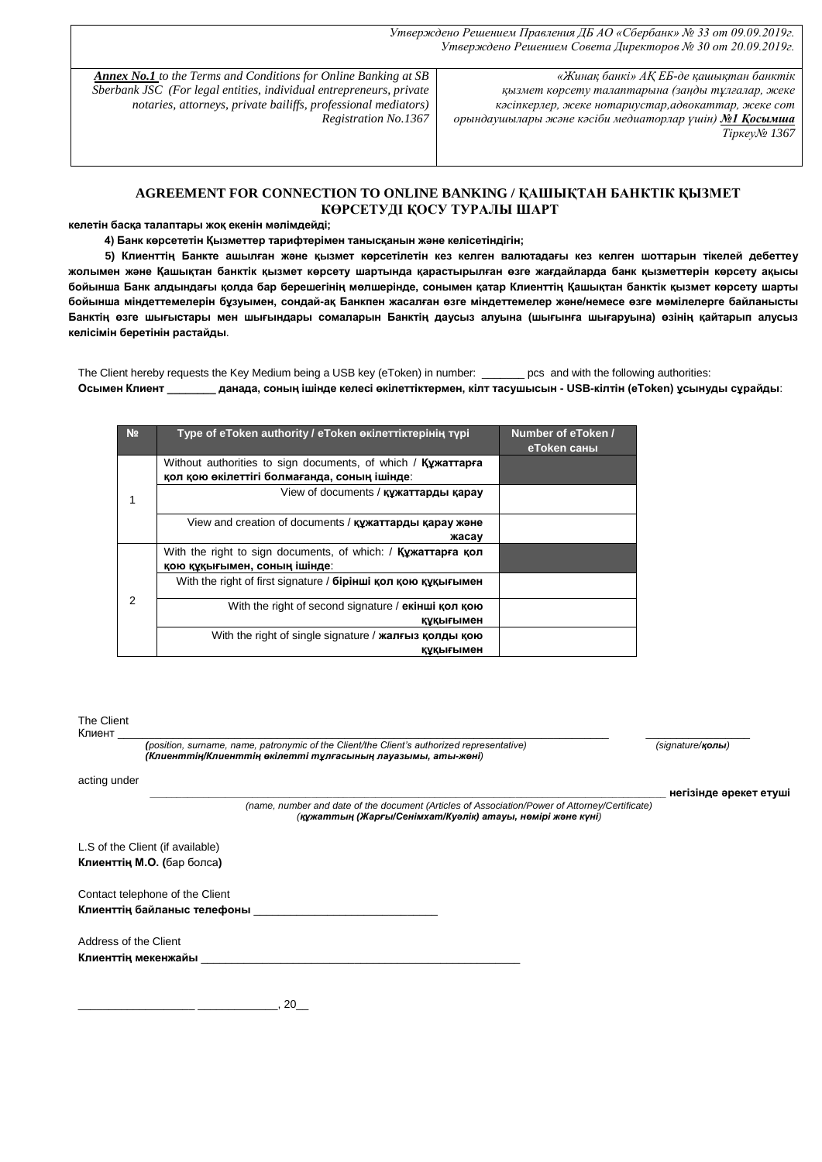*Утверждено Решением Правления ДБ АО «Сбербанк» № 33 от 09.09.2019г. Утверждено Решением Совета Директоров № 30 от 20.09.2019г.*

*Annex No.1 to the Terms and Conditions for Online Banking at SB Sberbank JSC (For legal entities, individual entrepreneurs, private notaries, attorneys, private bailiffs, professional mediators) Registration No.1367*

*«Жинақ банкі» АҚ ЕБ-де қашықтан банктік қызмет көрсету талаптарына (заңды тұлғалар, жеке кәсіпкерлер, жеке нотариустар,адвокаттар, жеке сот орындаушылары және кәсіби медиаторлар үшін) №1 Қосымша Тіркеу№ 1367*

## **AGREEMENT FOR CONNECTION TO ONLINE BANKING / ҚАШЫҚТАН БАНКТІК ҚЫЗМЕТ КӨРСЕТУДІ ҚОСУ ТУРАЛЫ ШАРТ**

**келетін басқа талаптары жоқ екенін мәлімдейді;**

 **4) Банк кӛрсететін Қызметтер тарифтерімен танысқанын және келісетіндігін;**

5) Клиенттің Банкте ашылған және қызмет көрсетілетін кез келген валютадағы кез келген шоттарын тікелей дебеттеу **жолымен және Қашықтан банктік қызмет кӛрсету шартында қарастырылған ӛзге жағдайларда банк қызметтерін кӛрсету ақысы бойынша Банк алдындағы қолда бар берешегінің мӛлшерінде, сонымен қатар Клиенттің Қашықтан банктік қызмет кӛрсету шарты бойынша міндеттемелерін бұзуымен, сондай-ақ Банкпен жасалған ӛзге міндеттемелер және/немесе ӛзге мәмілелерге байланысты Банктің ӛзге шығыстары мен шығындары сомаларын Банктің даусыз алуына (шығынға шығаруына) ӛзінің қайтарып алусыз келісімін беретінін растайды**.

The Client hereby requests the Key Medium being a USB key (eToken) in number: \_\_\_\_\_\_\_ pcs and with the following authorities: **Осымен Клиент \_\_\_\_\_\_\_\_ данада, соның ішінде келесі ӛкілеттіктермен, кілт тасушысын - USB-кілтін (eToken) ұсынуды сұрайды**:

| N <sub>2</sub> | Type of eToken authority / eToken өкілеттіктерінің түрі                                                      | Number of eToken /<br>еТокеп саны |
|----------------|--------------------------------------------------------------------------------------------------------------|-----------------------------------|
|                | Without authorities to sign documents, of which / Kyxarrapra<br>қол қою өкілеттігі болмағанда, соның ішінде: |                                   |
|                | View of documents / құжаттарды қарау                                                                         |                                   |
|                | View and creation of documents / құжаттарды қарау және<br>жасау                                              |                                   |
|                | With the right to sign documents, of which: $\frac{1}{2}$ Ky xarrap a KON<br>қою құқығымен, соның ішінде:    |                                   |
| 2              | With the right of first signature / бірінші қол қою құқығымен                                                |                                   |
|                | With the right of second signature / екінші қол қою<br>құқығымен                                             |                                   |
|                | With the right of single signature / <b>жалғыз қолды қою</b><br>құқығымен                                    |                                   |

| The Client<br>Клиент  |                                                                                                                                                              |                           |
|-----------------------|--------------------------------------------------------------------------------------------------------------------------------------------------------------|---------------------------|
|                       | (position, surname, name, patronymic of the Client/the Client's authorized representative)<br>(Клиенттің/Клиенттің өкілетті тұлғасының лауазымы, аты-жөні)   | (signature/ <b>қолы</b> ) |
| acting under          |                                                                                                                                                              |                           |
|                       | (name, number and date of the document (Articles of Association/Power of Attorney/Certificate)<br>(құжаттың (Жарғы/Сенімхат/Куәлік) атауы, нөмірі және күні) | негізінде әрекет етуші    |
|                       | L.S of the Client (if available)                                                                                                                             |                           |
|                       | Клиенттің М.О. (бар болса)                                                                                                                                   |                           |
|                       | Contact telephone of the Client                                                                                                                              |                           |
|                       | Клиенттің байланыс телефоны                                                                                                                                  |                           |
| Address of the Client |                                                                                                                                                              |                           |
| Клиенттің мекенжайы   |                                                                                                                                                              |                           |
|                       |                                                                                                                                                              |                           |

 $_{-1}$ , 20 $_{-1}$